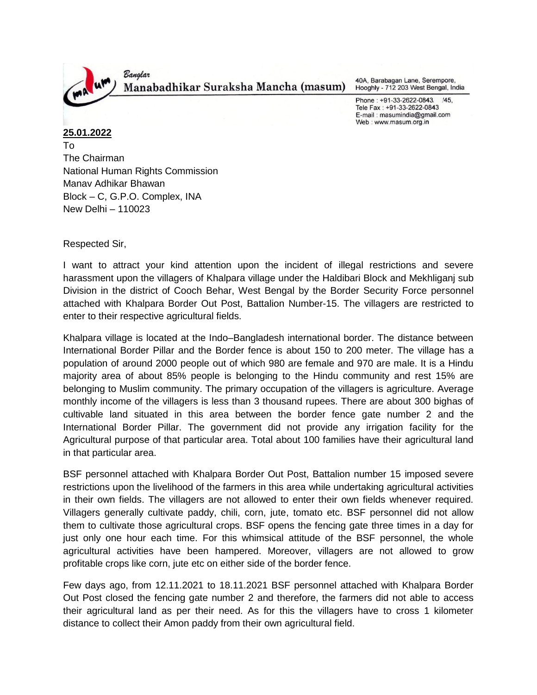

40A, Barabagan Lane, Serempore, Hooghly - 712 203 West Bengal, India

Phone: +91-33-2622-0843. /45, Tele Fax: +91-33-2622-0843 E-mail: masumindia@gmail.com Web: www.masum.org.in

**25.01.2022** To The Chairman National Human Rights Commission Manav Adhikar Bhawan Block – C, G.P.O. Complex, INA New Delhi – 110023

Respected Sir,

I want to attract your kind attention upon the incident of illegal restrictions and severe harassment upon the villagers of Khalpara village under the Haldibari Block and Mekhliganj sub Division in the district of Cooch Behar, West Bengal by the Border Security Force personnel attached with Khalpara Border Out Post, Battalion Number-15. The villagers are restricted to enter to their respective agricultural fields.

Khalpara village is located at the Indo–Bangladesh international border. The distance between International Border Pillar and the Border fence is about 150 to 200 meter. The village has a population of around 2000 people out of which 980 are female and 970 are male. It is a Hindu majority area of about 85% people is belonging to the Hindu community and rest 15% are belonging to Muslim community. The primary occupation of the villagers is agriculture. Average monthly income of the villagers is less than 3 thousand rupees. There are about 300 bighas of cultivable land situated in this area between the border fence gate number 2 and the International Border Pillar. The government did not provide any irrigation facility for the Agricultural purpose of that particular area. Total about 100 families have their agricultural land in that particular area.

BSF personnel attached with Khalpara Border Out Post, Battalion number 15 imposed severe restrictions upon the livelihood of the farmers in this area while undertaking agricultural activities in their own fields. The villagers are not allowed to enter their own fields whenever required. Villagers generally cultivate paddy, chili, corn, jute, tomato etc. BSF personnel did not allow them to cultivate those agricultural crops. BSF opens the fencing gate three times in a day for just only one hour each time. For this whimsical attitude of the BSF personnel, the whole agricultural activities have been hampered. Moreover, villagers are not allowed to grow profitable crops like corn, jute etc on either side of the border fence.

Few days ago, from 12.11.2021 to 18.11.2021 BSF personnel attached with Khalpara Border Out Post closed the fencing gate number 2 and therefore, the farmers did not able to access their agricultural land as per their need. As for this the villagers have to cross 1 kilometer distance to collect their Amon paddy from their own agricultural field.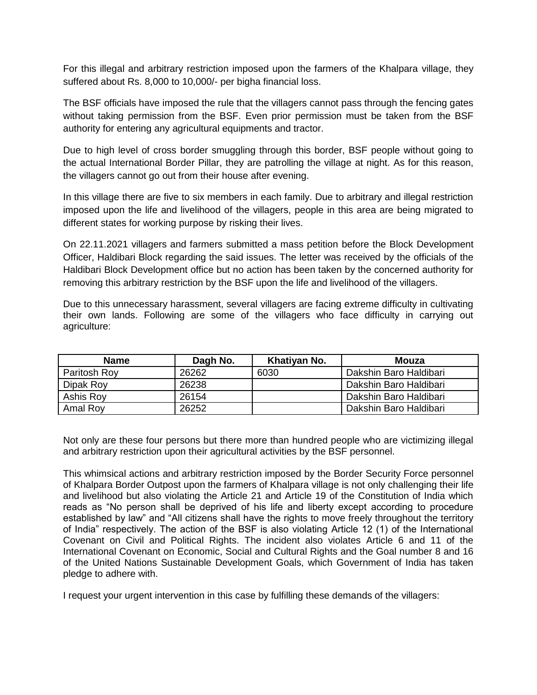For this illegal and arbitrary restriction imposed upon the farmers of the Khalpara village, they suffered about Rs. 8,000 to 10,000/- per bigha financial loss.

The BSF officials have imposed the rule that the villagers cannot pass through the fencing gates without taking permission from the BSF. Even prior permission must be taken from the BSF authority for entering any agricultural equipments and tractor.

Due to high level of cross border smuggling through this border, BSF people without going to the actual International Border Pillar, they are patrolling the village at night. As for this reason, the villagers cannot go out from their house after evening.

In this village there are five to six members in each family. Due to arbitrary and illegal restriction imposed upon the life and livelihood of the villagers, people in this area are being migrated to different states for working purpose by risking their lives.

On 22.11.2021 villagers and farmers submitted a mass petition before the Block Development Officer, Haldibari Block regarding the said issues. The letter was received by the officials of the Haldibari Block Development office but no action has been taken by the concerned authority for removing this arbitrary restriction by the BSF upon the life and livelihood of the villagers.

Due to this unnecessary harassment, several villagers are facing extreme difficulty in cultivating their own lands. Following are some of the villagers who face difficulty in carrying out agriculture:

| <b>Name</b>  | Dagh No. | Khatiyan No. | Mouza                  |
|--------------|----------|--------------|------------------------|
| Paritosh Roy | 26262    | 6030         | Dakshin Baro Haldibari |
| Dipak Roy    | 26238    |              | Dakshin Baro Haldibari |
| Ashis Roy    | 26154    |              | Dakshin Baro Haldibari |
| Amal Roy     | 26252    |              | Dakshin Baro Haldibari |

Not only are these four persons but there more than hundred people who are victimizing illegal and arbitrary restriction upon their agricultural activities by the BSF personnel.

This whimsical actions and arbitrary restriction imposed by the Border Security Force personnel of Khalpara Border Outpost upon the farmers of Khalpara village is not only challenging their life and livelihood but also violating the Article 21 and Article 19 of the Constitution of India which reads as "No person shall be deprived of his life and liberty except according to procedure established by law" and "All citizens shall have the rights to move freely throughout the territory of India" respectively. The action of the BSF is also violating Article 12 (1) of the International Covenant on Civil and Political Rights. The incident also violates Article 6 and 11 of the International Covenant on Economic, Social and Cultural Rights and the Goal number 8 and 16 of the United Nations Sustainable Development Goals, which Government of India has taken pledge to adhere with.

I request your urgent intervention in this case by fulfilling these demands of the villagers: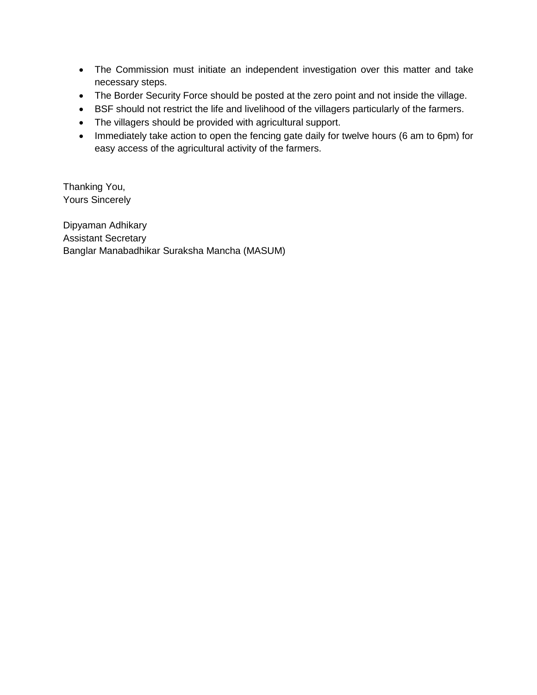- The Commission must initiate an independent investigation over this matter and take necessary steps.
- The Border Security Force should be posted at the zero point and not inside the village.
- BSF should not restrict the life and livelihood of the villagers particularly of the farmers.
- The villagers should be provided with agricultural support.
- Immediately take action to open the fencing gate daily for twelve hours (6 am to 6pm) for easy access of the agricultural activity of the farmers.

Thanking You, Yours Sincerely

Dipyaman Adhikary Assistant Secretary Banglar Manabadhikar Suraksha Mancha (MASUM)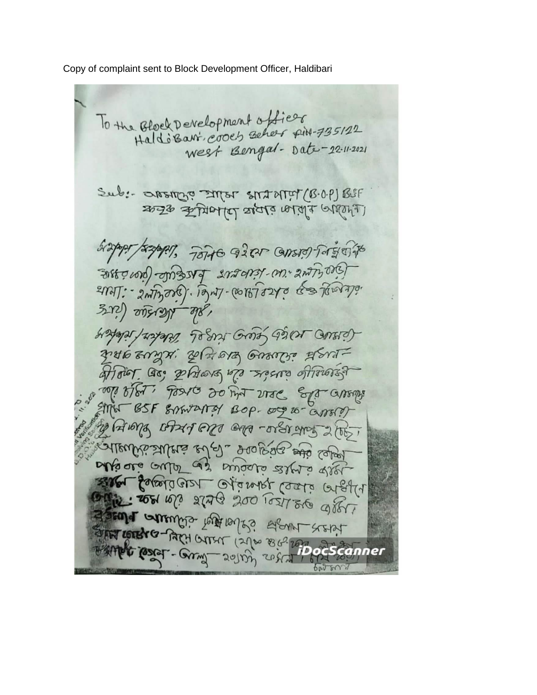Copy of complaint sent to Block Development Officer, Haldibari

To the Block Development officer West Bengal- Date-22-11-2021 Sub: OPSTOR INTER START (B.O.P) BUF केन्द्र कुमिलाए यात्रा जाता विशिव र्वेद्यालय स्थित हैं। के नेशन बरे दिन बाहरण निवास बर्क Surfine in / Kitchens LheElle (prosing) ENAT: - 2NTzora). Tom7-001878240 63 Towno. Sub Warsele (255 Hotals Astabil Leger Green de Cher (1204) zuto znyxi zela orz Grosse goraaffort. Go, phong of reserve offrons? anoti of of the same of the consumer BSF SAMAREY BOP. 00 10- anos y Aung Art on en -orer ans 2007 alleubisaulers ed al. großer aus selon blique autor as aviate stre elle alle comme stag 500 10211 see aller ESEMPT WITH THE LOOKING AGANT STEAT SANGE COREL - COUNTY SOLON WARD CONTROL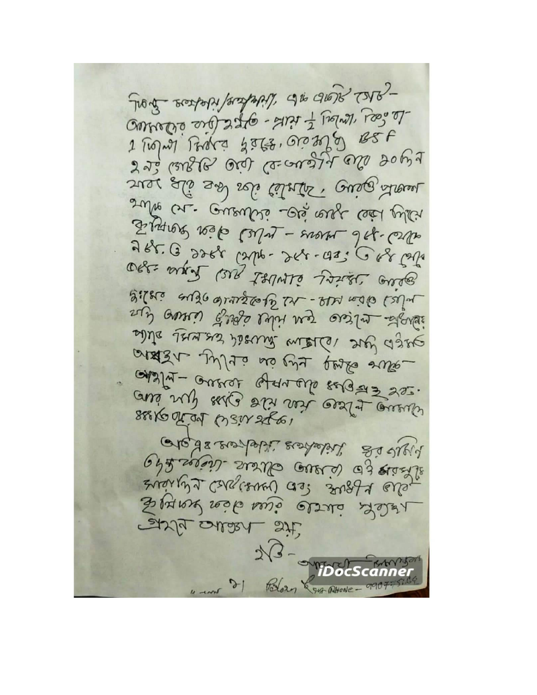- 2162 SCOREs of the Lord Helpers - Super Je Sal 1 Knight - Site - Site Che observe 2 Frant Fordra gatz, Grazzo BSF Jus leuge die George Algus de work glie sid itstil its and see sulte u. aueulse de alf cél plus Systeme 100 to Celus - were System 288. 6, 2288 (276 - 268 - 425 688 628 OBE WAR WAR LINNE 1954 Care yilki ango drazsolo LAL-RAN nodio (2014 self avres Essé lubre des essin desses site bet /ella isseme media set age arxish julio no viz perso sule apala- autres afarable sugars 220. aus sup sals sin ver out aussi SEEK OF OI (SSIV 2861 Gleds responses sented and sight Ob2 see to crew all cuela de starts andrehy Carglisonal as? 301897 eller Synor sesto avio elsa Selfa EXIS ONERA Sit Polozy & guz Phone- $\mathcal{P}$